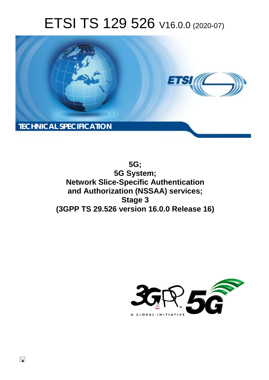# ETSI TS 129 526 V16.0.0 (2020-07)



**5G; 5G System; Network Slice-Specific Authentication and Authorization (NSSAA) services; Stage 3 (3GPP TS 29.526 version 16.0.0 Release 16)** 

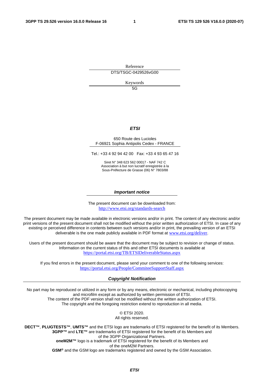Reference DTS/TSGC-0429526vG00

Keywords

5G

#### *ETSI*

#### 650 Route des Lucioles F-06921 Sophia Antipolis Cedex - FRANCE

Tel.: +33 4 92 94 42 00 Fax: +33 4 93 65 47 16

Siret N° 348 623 562 00017 - NAF 742 C Association à but non lucratif enregistrée à la Sous-Préfecture de Grasse (06) N° 7803/88

#### *Important notice*

The present document can be downloaded from: <http://www.etsi.org/standards-search>

The present document may be made available in electronic versions and/or in print. The content of any electronic and/or print versions of the present document shall not be modified without the prior written authorization of ETSI. In case of any existing or perceived difference in contents between such versions and/or in print, the prevailing version of an ETSI deliverable is the one made publicly available in PDF format at [www.etsi.org/deliver](http://www.etsi.org/deliver).

Users of the present document should be aware that the document may be subject to revision or change of status. Information on the current status of this and other ETSI documents is available at <https://portal.etsi.org/TB/ETSIDeliverableStatus.aspx>

If you find errors in the present document, please send your comment to one of the following services: <https://portal.etsi.org/People/CommiteeSupportStaff.aspx>

#### *Copyright Notification*

No part may be reproduced or utilized in any form or by any means, electronic or mechanical, including photocopying and microfilm except as authorized by written permission of ETSI. The content of the PDF version shall not be modified without the written authorization of ETSI.

The copyright and the foregoing restriction extend to reproduction in all media.

© ETSI 2020. All rights reserved.

**DECT™**, **PLUGTESTS™**, **UMTS™** and the ETSI logo are trademarks of ETSI registered for the benefit of its Members. **3GPP™** and **LTE™** are trademarks of ETSI registered for the benefit of its Members and of the 3GPP Organizational Partners. **oneM2M™** logo is a trademark of ETSI registered for the benefit of its Members and of the oneM2M Partners.

**GSM®** and the GSM logo are trademarks registered and owned by the GSM Association.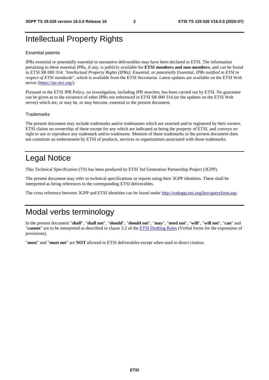### Intellectual Property Rights

#### Essential patents

IPRs essential or potentially essential to normative deliverables may have been declared to ETSI. The information pertaining to these essential IPRs, if any, is publicly available for **ETSI members and non-members**, and can be found in ETSI SR 000 314: *"Intellectual Property Rights (IPRs); Essential, or potentially Essential, IPRs notified to ETSI in respect of ETSI standards"*, which is available from the ETSI Secretariat. Latest updates are available on the ETSI Web server [\(https://ipr.etsi.org/](https://ipr.etsi.org/)).

Pursuant to the ETSI IPR Policy, no investigation, including IPR searches, has been carried out by ETSI. No guarantee can be given as to the existence of other IPRs not referenced in ETSI SR 000 314 (or the updates on the ETSI Web server) which are, or may be, or may become, essential to the present document.

#### **Trademarks**

The present document may include trademarks and/or tradenames which are asserted and/or registered by their owners. ETSI claims no ownership of these except for any which are indicated as being the property of ETSI, and conveys no right to use or reproduce any trademark and/or tradename. Mention of those trademarks in the present document does not constitute an endorsement by ETSI of products, services or organizations associated with those trademarks.

### Legal Notice

This Technical Specification (TS) has been produced by ETSI 3rd Generation Partnership Project (3GPP).

The present document may refer to technical specifications or reports using their 3GPP identities. These shall be interpreted as being references to the corresponding ETSI deliverables.

The cross reference between 3GPP and ETSI identities can be found under<http://webapp.etsi.org/key/queryform.asp>.

### Modal verbs terminology

In the present document "**shall**", "**shall not**", "**should**", "**should not**", "**may**", "**need not**", "**will**", "**will not**", "**can**" and "**cannot**" are to be interpreted as described in clause 3.2 of the [ETSI Drafting Rules](https://portal.etsi.org/Services/editHelp!/Howtostart/ETSIDraftingRules.aspx) (Verbal forms for the expression of provisions).

"**must**" and "**must not**" are **NOT** allowed in ETSI deliverables except when used in direct citation.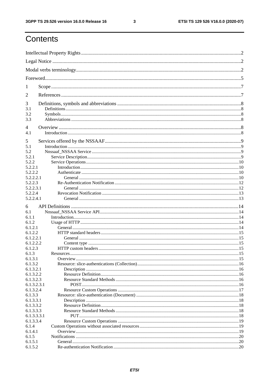$\mathbf{3}$ 

### Contents

| 1                     |  |
|-----------------------|--|
| 2                     |  |
| 3                     |  |
| 3.1                   |  |
| 3.2<br>3.3            |  |
|                       |  |
| $\overline{4}$<br>4.1 |  |
|                       |  |
| 5<br>5.1              |  |
| 5.2                   |  |
| 5.2.1                 |  |
| 5.2.2                 |  |
| 5.2.2.1               |  |
| 5.2.2.2<br>5.2.2.2.1  |  |
| 5.2.2.3               |  |
| 5.2.2.3.1             |  |
| 5.2.2.4               |  |
| 5.2.2.4.1             |  |
| 6                     |  |
| 6.1                   |  |
| 6.1.1                 |  |
| 6.1.2                 |  |
| 6.1.2.1               |  |
| 6.1.2.2               |  |
| 6.1.2.2.1             |  |
| 6.1.2.2.2             |  |
| 6.1.2.3<br>6.1.3      |  |
| 6.1.3.1               |  |
| 6.1.3.2               |  |
| 6.1.3.2.1             |  |
| 6.1.3.2.2             |  |
| 6.1.3.2.3             |  |
| 6.1.3.2.3.1           |  |
| 6.1.3.2.4             |  |
| 6.1.3.3<br>6.1.3.3.1  |  |
| 6.1.3.3.2             |  |
| 6.1.3.3.3             |  |
| 6.1.3.3.3.1           |  |
| 6.1.3.3.4             |  |
| 6.1.4                 |  |
| 6.1.4.1               |  |
| 6.1.5                 |  |
| 6.1.5.1<br>6.1.5.2    |  |
|                       |  |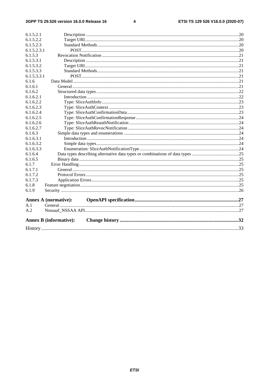#### $\overline{\mathbf{4}}$

| 6.1.5.2.1   |                               |  |
|-------------|-------------------------------|--|
| 6.1.5.2.2   |                               |  |
| 6.1.5.2.3   |                               |  |
| 6.1.5.2.3.1 |                               |  |
| 6.1.5.3     |                               |  |
| 6.1.5.3.1   |                               |  |
| 6.1.5.3.2   |                               |  |
| 6.1.5.3.3   |                               |  |
| 6.1.5.3.3.1 |                               |  |
| 6.1.6       |                               |  |
| 6.1.6.1     |                               |  |
| 6.1.6.2     |                               |  |
| 6.1.6.2.1   |                               |  |
| 6.1.6.2.2   |                               |  |
| 6.1.6.2.3   |                               |  |
| 6.1.6.2.4   |                               |  |
| 6.1.6.2.5   |                               |  |
| 6.1.6.2.6   |                               |  |
| 6.1.6.2.7   |                               |  |
| 6.1.6.3     |                               |  |
| 6.1.6.3.1   |                               |  |
| 6.1.6.3.2   |                               |  |
| 6.1.6.3.3   |                               |  |
| 6.1.6.4     |                               |  |
| 6.1.6.5     |                               |  |
| 6.1.7       |                               |  |
| 6.1.7.1     |                               |  |
| 6.1.7.2     |                               |  |
| 6.1.7.3     |                               |  |
| 6.1.8       |                               |  |
| 6.1.9       |                               |  |
|             | <b>Annex A (normative):</b>   |  |
| A.1         |                               |  |
| A.2         |                               |  |
|             |                               |  |
|             | <b>Annex B</b> (informative): |  |
|             |                               |  |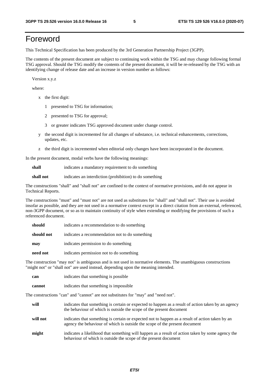### Foreword

This Technical Specification has been produced by the 3rd Generation Partnership Project (3GPP).

The contents of the present document are subject to continuing work within the TSG and may change following formal TSG approval. Should the TSG modify the contents of the present document, it will be re-released by the TSG with an identifying change of release date and an increase in version number as follows:

Version x.y.z

where:

- x the first digit:
	- 1 presented to TSG for information;
	- 2 presented to TSG for approval;
	- 3 or greater indicates TSG approved document under change control.
- y the second digit is incremented for all changes of substance, i.e. technical enhancements, corrections, updates, etc.
- z the third digit is incremented when editorial only changes have been incorporated in the document.

In the present document, modal verbs have the following meanings:

**shall** indicates a mandatory requirement to do something

**shall not** indicates an interdiction (prohibition) to do something

The constructions "shall" and "shall not" are confined to the context of normative provisions, and do not appear in Technical Reports.

The constructions "must" and "must not" are not used as substitutes for "shall" and "shall not". Their use is avoided insofar as possible, and they are not used in a normative context except in a direct citation from an external, referenced, non-3GPP document, or so as to maintain continuity of style when extending or modifying the provisions of such a referenced document.

| should     | indicates a recommendation to do something     |
|------------|------------------------------------------------|
| should not | indicates a recommendation not to do something |
| may        | indicates permission to do something           |
| need not   | indicates permission not to do something       |

The construction "may not" is ambiguous and is not used in normative elements. The unambiguous constructions "might not" or "shall not" are used instead, depending upon the meaning intended.

| can    | indicates that something is possible.  |
|--------|----------------------------------------|
| cannot | indicates that something is impossible |

The constructions "can" and "cannot" are not substitutes for "may" and "need not".

| will     | indicates that something is certain or expected to happen as a result of action taken by an agency<br>the behaviour of which is outside the scope of the present document     |
|----------|-------------------------------------------------------------------------------------------------------------------------------------------------------------------------------|
| will not | indicates that something is certain or expected not to happen as a result of action taken by an<br>agency the behaviour of which is outside the scope of the present document |
| might    | indicates a likelihood that something will happen as a result of action taken by some agency the<br>behaviour of which is outside the scope of the present document           |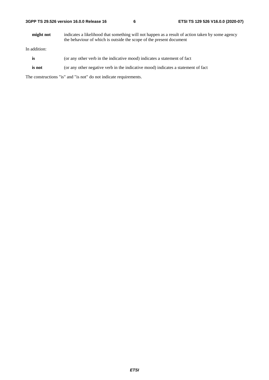| 3GPP TS 29.526 version 16.0.0 Release 16 |  |  |  |  |  |  |
|------------------------------------------|--|--|--|--|--|--|
|------------------------------------------|--|--|--|--|--|--|

**might not** indicates a likelihood that something will not happen as a result of action taken by some agency the behaviour of which is outside the scope of the present document

In addition:

- is (or any other verb in the indicative mood) indicates a statement of fact
- **is not** (or any other negative verb in the indicative mood) indicates a statement of fact

The constructions "is" and "is not" do not indicate requirements.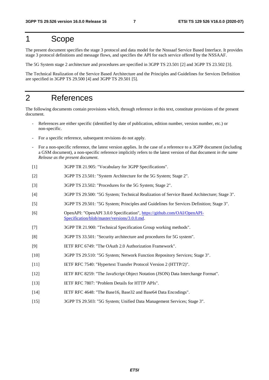### 1 Scope

The present document specifies the stage 3 protocol and data model for the Nnssaaf Service Based Interface. It provides stage 3 protocol definitions and message flows, and specifies the API for each service offered by the NSSAAF.

The 5G System stage 2 architecture and procedures are specified in 3GPP TS 23.501 [2] and 3GPP TS 23.502 [3].

The Technical Realization of the Service Based Architecture and the Principles and Guidelines for Services Definition are specified in 3GPP TS 29.500 [4] and 3GPP TS 29.501 [5].

### 2 References

The following documents contain provisions which, through reference in this text, constitute provisions of the present document.

- References are either specific (identified by date of publication, edition number, version number, etc.) or non-specific.
- For a specific reference, subsequent revisions do not apply.
- For a non-specific reference, the latest version applies. In the case of a reference to a 3GPP document (including a GSM document), a non-specific reference implicitly refers to the latest version of that document *in the same Release as the present document*.
- [1] 3GPP TR 21.905: "Vocabulary for 3GPP Specifications".
- [2] 3GPP TS 23.501: "System Architecture for the 5G System; Stage 2".
- [3] 3GPP TS 23.502: "Procedures for the 5G System; Stage 2".
- [4] 3GPP TS 29.500: "5G System; Technical Realization of Service Based Architecture; Stage 3".
- [5] 3GPP TS 29.501: "5G System; Principles and Guidelines for Services Definition; Stage 3".
- [6] OpenAPI: "OpenAPI 3.0.0 Specification", [https://github.com/OAI/OpenAPI](https://github.com/OAI/OpenAPI-Specification/blob/master/versions/3.0.0.md)-[Specification/blob/master/versions/3.0.0.md](https://github.com/OAI/OpenAPI-Specification/blob/master/versions/3.0.0.md).
- [7] 3GPP TR 21.900: "Technical Specification Group working methods".
- [8] 3GPP TS 33.501: "Security architecture and procedures for 5G system".
- [9] IETF RFC 6749: "The OAuth 2.0 Authorization Framework".
- [10] 3GPP TS 29.510: "5G System; Network Function Repository Services; Stage 3".
- [11] IETF RFC 7540: "Hypertext Transfer Protocol Version 2 (HTTP/2)".
- [12] IETF RFC 8259: "The JavaScript Object Notation (JSON) Data Interchange Format".
- [13] IETF RFC 7807: "Problem Details for HTTP APIs".
- [14] IETF RFC 4648: "The Base16, Base32 and Base64 Data Encodings".
- [15] 3GPP TS 29.503: "5G System; Unified Data Management Services; Stage 3".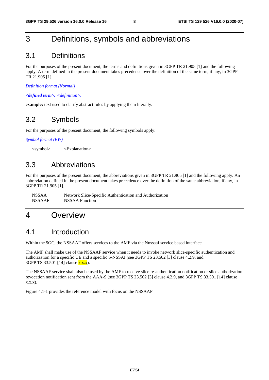### 3 Definitions, symbols and abbreviations

### 3.1 Definitions

For the purposes of the present document, the terms and definitions given in 3GPP TR 21.905 [1] and the following apply. A term defined in the present document takes precedence over the definition of the same term, if any, in 3GPP TR 21.905 [1].

*Definition format (Normal)* 

*<defined term>: <definition>.* 

**example:** text used to clarify abstract rules by applying them literally.

### 3.2 Symbols

For the purposes of the present document, the following symbols apply:

*Symbol format (EW)* 

<symbol> <Explanation>

### 3.3 Abbreviations

For the purposes of the present document, the abbreviations given in 3GPP TR 21.905 [1] and the following apply. An abbreviation defined in the present document takes precedence over the definition of the same abbreviation, if any, in 3GPP TR 21.905 [1].

NSSAA Network Slice-Specific Authentication and Authorization NSSAAF NSSAA Function

### 4 Overview

### 4.1 Introduction

Within the 5GC, the NSSAAF offers services to the AMF via the Nnssaaf service based interface.

The AMF shall make use of the NSSAAF service when it needs to invoke network slice-specific authentication and authorization for a specific UE and a specific S-NSSAI (see 3GPP TS 23.502 [3] clause 4.2.9, and 3GPP TS 33.501 [14] clause x.x.x).

The NSSAAF service shall also be used by the AMF to receive slice re-authentication notification or slice authorization revocation notification sent from the AAA-S (see 3GPP TS 23.502 [3] clause 4.2.9, and 3GPP TS 33.501 [14] clause x.x.x).

Figure 4.1-1 provides the reference model with focus on the NSSAAF.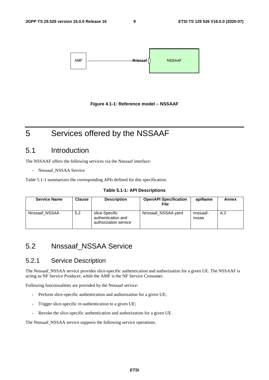



### 5 Services offered by the NSSAAF

### 5.1 Introduction

The NSSAAF offers the following services via the Nnssaaf interface:

- Nnssaaf\_NSSAA Service

Table 5.1-1 summarizes the corresponding APIs defined for this specification.

| Table 5.1-1: API Descriptions |  |
|-------------------------------|--|
|-------------------------------|--|

| <b>Service Name</b> | <b>Clause</b> | <b>Description</b>                                            | <b>OpenAPI Specification</b><br>File | apiName           | Annex |
|---------------------|---------------|---------------------------------------------------------------|--------------------------------------|-------------------|-------|
| Nnssaaf NSSAA       | 5.2           | slice-Specific<br>authentication and<br>authorization service | Nnssaaf NSSAA.yaml                   | nnssaaf-<br>nssaa | A.2   |

### 5.2 Nnssaaf\_NSSAA Service

#### 5.2.1 Service Description

The Nnssaaf\_NSSAA service provides slice-specific authentication and authorization for a given UE. The NSSAAF is acting as NF Service Producer, while the AMF is the NF Service Consumer.

Following functionalities are provided by the Nnssaaf service:

- Perform slice-specific authentication and authorization for a given UE;
- Trigger slice-specific re-authentication to a given UE;
- Revoke the slice-specific authentication and authorization for a given UE.

The Nnssaaf\_NSSAA service supports the following service operations.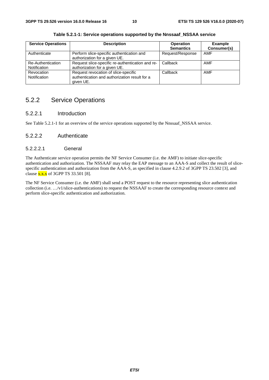| <b>Service Operations</b>         | <b>Description</b>                                                                                 | <b>Operation</b><br><b>Semantics</b> | <b>Example</b><br>Consumer(s) |
|-----------------------------------|----------------------------------------------------------------------------------------------------|--------------------------------------|-------------------------------|
| Authenticate                      | Perform slice-specific authentication and<br>authorization for a given UE.                         | Request/Response                     | <b>AMF</b>                    |
| Re-Authentication<br>Notification | Request slice-specific re-authentication and re-<br>authorization for a given UE.                  | Callback                             | <b>AMF</b>                    |
| Revocation<br>Notification        | Request revocation of slice-specific<br>authentication and authorization result for a<br>given UE. | Callback                             | <b>AMF</b>                    |

**Table 5.2.1-1: Service operations supported by the Nnssaaf\_NSSAA service** 

### 5.2.2 Service Operations

#### 5.2.2.1 Introduction

See Table 5.2.1-1 for an overview of the service operations supported by the Nnssaaf\_NSSAA service.

#### 5.2.2.2 Authenticate

#### 5.2.2.2.1 General

The Authenticate service operation permits the NF Service Consumer (i.e. the AMF) to initiate slice-specific authentication and authorization. The NSSAAF may relay the EAP message to an AAA-S and collect the result of slicespecific authentication and authorization from the AAA-S, as specified in clause 4.2.9.2 of 3GPP TS 23.502 [3], and clause  $x.x.x$  of 3GPP TS 33.501 [8].

The NF Service Consumer (i.e. the AMF) shall send a POST request to the resource representing slice authentication collection (i.e. …/v1/slice-authentications) to request the NSSAAF to create the corresponding resource context and perform slice-specific authentication and authorization.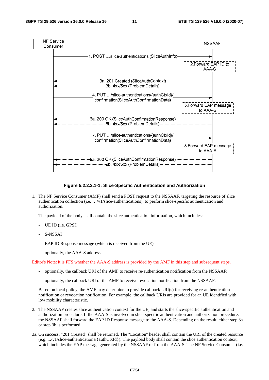

#### **Figure 5.2.2.2.1-1: Slice-Specific Authentication and Authorization**

1. The NF Service Consumer (AMF) shall send a POST request to the NSSAAF, targeting the resource of slice authentication collection (i.e. …/v1/slice-authentications), to perform slice-specific authentication and authorization.

The payload of the body shall contain the slice authentication information, which includes:

- UE ID (i.e. GPSI)
- S-NSSAI
- EAP ID Response message (which is received from the UE)
- optionally, the AAA-S address

Editor's Note: It is FFS whether the AAA-S address is provided by the AMF in this step and subsequent steps.

- optionally, the callback URI of the AMF to receive re-authentication notification from the NSSAAF;
- optionally, the callback URI of the AMF to receive revocation notification from the NSSAAF.

Based on local policy, the AMF may determine to provide callback URI(s) for receiving re-authentication notification or revocation notification. For example, the callback URIs are provided for an UE identified with low mobility characteristic.

- 2. The NSSAAF creates slice authentication context for the UE, and starts the slice-specific authentication and authorization procedure. If the AAA-S is involved in slice-specific authentication and authorization procedure, the NSSAAF shall forward the EAP ID Response message to the AAA-S. Depending on the result, either step 3a or step 3b is performed.
- 3a. On success, "201 Created" shall be returned. The "Location" header shall contain the URI of the created resource (e.g. .../v1/slice-authentications/{authCtxId}). The payload body shall contain the slice authentication context, which includes the EAP message generated by the NSSAAF or from the AAA-S. The NF Service Consumer (i.e.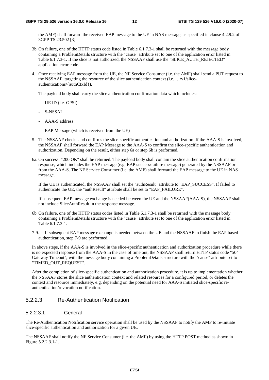the AMF) shall forward the received EAP message to the UE in NAS message, as specified in clause 4.2.9.2 of 3GPP TS 23.502 [3].

- 3b. On failure, one of the HTTP status code listed in Table 6.1.7.3-1 shall be returned with the message body containing a ProblemDetails structure with the "cause" attribute set to one of the application error listed in Table 6.1.7.3-1. If the slice is not authorized, the NSSAAF shall use the "SLICE\_AUTH\_REJECTED" application error code.
- 4. Once receiving EAP message from the UE, the NF Service Consumer (i.e. the AMF) shall send a PUT request to the NSSAAF, targeting the resource of the slice authentication context (i.e. …/v1/sliceauthentications/{authCtxId}).

The payload body shall carry the slice authentication confirmation data which includes:

- UE ID (i.e. GPSI)
- S-NSSAI
- AAA-S address
- EAP Message (which is received from the UE)
- 5. The NSSAAF checks and confirms the slice-specific authentication and authorization. If the AAA-S is involved, the NSSAAF shall forward the EAP Message to the AAA-S to confirm the slice-specific authentication and authorization. Depending on the result, either step 6a or step 6b is performed.
- 6a. On success, "200 OK" shall be returned. The payload body shall contain the slice authentication confirmation response, which includes the EAP message (e.g. EAP success/failure message) generated by the NSSAAF or from the AAA-S. The NF Service Consumer (i.e. the AMF) shall forward the EAP message to the UE in NAS message.

If the UE is authenticated, the NSSAAF shall set the "authResult" attribute to "EAP\_SUCCESS". If failed to authenticate the UE, the "authResult" attribute shall be set to "EAP\_FAILURE".

If subsequent EAP message exchange is needed between the UE and the NSSAAF(AAA-S), the NSSAAF shall not include SliceAuthResult in the response message.

- 6b. On failure, one of the HTTP status codes listed in Table 6.1.7.3-1 shall be returned with the message body containing a ProblemDetails structure with the "cause" attribute set to one of the application error listed in Table 6.1.7.3-1.
- 7-9. If subsequent EAP message exchange is needed between the UE and the NSSAAF to finish the EAP based authentication, step 7-9 are performed.

In above steps, if the AAA-S is involved in the slice-specific authentication and authorization procedure while there is no expected response from the AAA-S in the case of time out, the NSSAAF shall return HTTP status code "504 Gateway Timeout", with the message body containing a ProblemDetails structure with the "cause" attribute set to "TIMED\_OUT\_REQUEST".

After the completion of slice-specific authentication and authorization procedure, it is up to implementation whether the NSSAAF stores the slice authentication context and related resources for a configured period, or deletes the context and resource immediately, e.g. depending on the potential need for AAA-S initiated slice-specific reauthentication/revocation notification.

#### 5.2.2.3 Re-Authentication Notification

#### 5.2.2.3.1 General

The Re-Authentication Notification service operation shall be used by the NSSAAF to notify the AMF to re-initiate slice-specific authentication and authorization for a given UE.

The NSSAAF shall notify the NF Service Consumer (i.e. the AMF) by using the HTTP POST method as shown in Figure 5.2.2.3.1-1.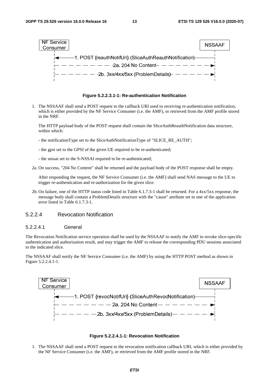

**Figure 5.2.2.3.1-1: Re-authentication Notification** 

1. The NSSAAF shall send a POST request to the callback URI used to receiving re-authentication notification, which is either provided by the NF Service Consumer (i.e. the AMF), or retrieved from the AMF profile stored in the NRF.

 The HTTP payload body of the POST request shall contain the SliceAuthReauthNotification data structure, within which:

- the notificationType set to the SliceAuthNotificationType of "SLICE\_RE\_AUTH";
- the gpsi set to the GPSI of the given UE required to be re-authenticated;
- the snssai set to the S-NSSAI required to be re-authenticated;

2a. On success, "204 No Content" shall be returned and the payload body of the POST response shall be empty.

After responding the request, the NF Service Consumer (i.e. the AMF) shall send NAS message to the UE to trigger re-authentication and re-authorization for the given slice.

2b. On failure, one of the HTTP status code listed in Table 6.1.7.3-1 shall be returned. For a 4xx/5xx response, the message body shall contain a ProblemDetails structure with the "cause" attribute set to one of the application error listed in Table 6.1.7.3-1.

#### 5.2.2.4 Revocation Notification

#### 5.2.2.4.1 General

The Revocation Notification service operation shall be used by the NSSAAF to notify the AMF to revoke slice-specific authentication and authorization result, and may trigger the AMF to release the corresponding PDU sessions associated to the indicated slice.

The NSSAAF shall notify the NF Service Consumer (i.e. the AMF) by using the HTTP POST method as shown in Figure 5.2.2.4.1-1.



#### **Figure 5.2.2.4.1-1: Revocation Notification**

1. The NSSAAF shall send a POST request to the revocation notification callback URI, which is either provided by the NF Service Consumer (i.e. the AMF), or retrieved from the AMF profile stored in the NRF.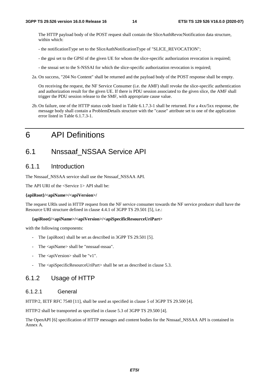The HTTP payload body of the POST request shall contain the SliceAuthRevocNotification data structure, within which:

- the notificationType set to the SliceAuthNotificationType of "SLICE\_REVOCATION";
- the gpsi set to the GPSI of the given UE for whom the slice-specific authorization revocation is required;
- the snssai set to the S-NSSAI for which the slice-specific authorization revocation is required;
- 2a. On success, "204 No Content" shall be returned and the payload body of the POST response shall be empty.

On receiving the request, the NF Service Consumer (i.e. the AMF) shall revoke the slice-specific authentication and authorization result for the given UE. If there is PDU session associated to the given slice, the AMF shall trigger the PDU session release to the SMF, with appropriate cause value.

2b. On failure, one of the HTTP status code listed in Table 6.1.7.3-1 shall be returned. For a 4xx/5xx response, the message body shall contain a ProblemDetails structure with the "cause" attribute set to one of the application error listed in Table 6.1.7.3-1.

### 6 API Definitions

### 6.1 Nnssaaf\_NSSAA Service API

### 6.1.1 Introduction

The Nnssaaf\_NSSAA service shall use the Nnssaaf\_NSSAA API.

The API URI of the  $\le$ Service 1 $>$  API shall be:

#### **{apiRoot}/<apiName>/<apiVersion>/**

The request URIs used in HTTP request from the NF service consumer towards the NF service producer shall have the Resource URI structure defined in clause 4.4.1 of 3GPP TS 29.501 [5], i.e.:

#### **{apiRoot}/<apiName>/<apiVersion>/<apiSpecificResourceUriPart>**

with the following components:

- The {apiRoot} shall be set as described in 3GPP TS 29.501 [5].
- The <apiName> shall be "nnssaaf-nssaa".
- The  $\langle$ apiVersion $\rangle$  shall be "v1".
- The <apiSpecificResourceUriPart> shall be set as described in clause 5.3.

### 6.1.2 Usage of HTTP

#### 6.1.2.1 General

HTTP/2, IETF RFC 7540 [11], shall be used as specified in clause 5 of 3GPP TS 29.500 [4].

HTTP/2 shall be transported as specified in clause 5.3 of 3GPP TS 29.500 [4].

The OpenAPI [6] specification of HTTP messages and content bodies for the Nnssaaf\_NSSAA API is contained in Annex A.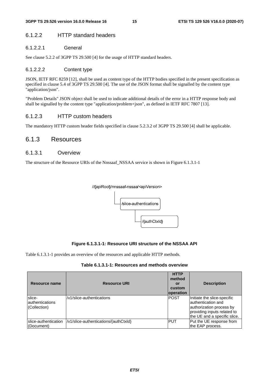#### 6.1.2.2 HTTP standard headers

#### 6.1.2.2.1 General

See clause 5.2.2 of 3GPP TS 29.500 [4] for the usage of HTTP standard headers.

#### 6.1.2.2.2 Content type

JSON, IETF RFC 8259 [12], shall be used as content type of the HTTP bodies specified in the present specification as specified in clause 5.4 of 3GPP TS 29.500 [4]. The use of the JSON format shall be signalled by the content type "application/json".

"Problem Details" JSON object shall be used to indicate additional details of the error in a HTTP response body and shall be signalled by the content type "application/problem+json", as defined in IETF RFC 7807 [13].

#### 6.1.2.3 HTTP custom headers

The mandatory HTTP custom header fields specified in clause 5.2.3.2 of 3GPP TS 29.500 [4] shall be applicable.

#### 6.1.3 Resources

#### 6.1.3.1 Overview

The structure of the Resource URIs of the Nnssaaf\_NSSAA service is shown in Figure 6.1.3.1-1

#### //{apiRoot}/nnssaaf-nssaa/<apiVersion>



#### **Figure 6.1.3.1-1: Resource URI structure of the NSSAA API**

Table 6.1.3.1-1 provides an overview of the resources and applicable HTTP methods.

|  |  | Table 6.1.3.1-1: Resources and methods overview |
|--|--|-------------------------------------------------|
|--|--|-------------------------------------------------|

| Resource name                              | <b>Resource URI</b>                   | <b>HTTP</b><br>method<br>or<br>custom<br><b>loperation</b> | <b>Description</b>                                                                                                                            |
|--------------------------------------------|---------------------------------------|------------------------------------------------------------|-----------------------------------------------------------------------------------------------------------------------------------------------|
| slice-<br>lauthentications<br>(Collection) | /v1/slice-authentications             | <b>POST</b>                                                | Initiate the slice-specific<br>lauthentication and<br>authorization process by<br>providing inputs related to<br>the UE and a specific slice. |
| slice-authentication<br>(Document)         | /v1/slice-authentications/{authCtxld} | IPUT                                                       | Put the UE response from<br>the EAP process.                                                                                                  |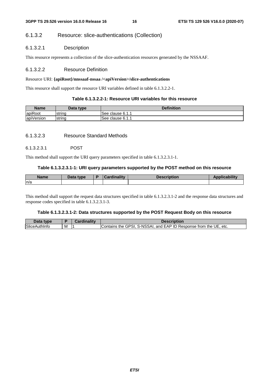#### 6.1.3.2 Resource: slice-authentications (Collection)

#### 6.1.3.2.1 Description

This resource represents a collection of the slice-authentication resources generated by the NSSAAF.

#### 6.1.3.2.2 Resource Definition

#### Resource URI: **{apiRoot}/nnssaaf-nssaa /<apiVersion>/slice-authentications**

This resource shall support the resource URI variables defined in table 6.1.3.2.2-1.

#### **Table 6.1.3.2.2-1: Resource URI variables for this resource**

| Name       | Data type | <b>Definition</b> |
|------------|-----------|-------------------|
| apiRoot    | Istrina   | ISee clause 6.1.1 |
| apiVersion | string    | ISee clause 6.1.1 |

#### 6.1.3.2.3 Resource Standard Methods

#### 6.1.3.2.3.1 POST

This method shall support the URI query parameters specified in table 6.1.3.2.3.1-1.

#### **Table 6.1.3.2.3.1-1: URI query parameters supported by the POST method on this resource**

| Name | Data type | <b>Cardinality</b> | <b>Description</b> | المستوار المناسب |
|------|-----------|--------------------|--------------------|------------------|
| ln/a |           |                    |                    |                  |
|      |           |                    |                    |                  |

This method shall support the request data structures specified in table 6.1.3.2.3.1-2 and the response data structures and response codes specified in table 6.1.3.2.3.1-3.

#### **Table 6.1.3.2.3.1-2: Data structures supported by the POST Request Body on this resource**

| Data type |            | dinality: | Description                                                                          |
|-----------|------------|-----------|--------------------------------------------------------------------------------------|
| SliceAut. | <b>IVI</b> |           | . S-NSSAI, and EAP ID Response from the UE.<br>the GPSI.<br>etc.<br><b>IContains</b> |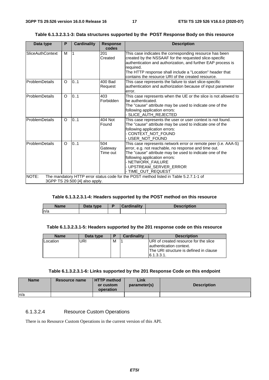| Table 6.1.3.2.3.1-3: Data structures supported by the POST Response Body on this resource |  |
|-------------------------------------------------------------------------------------------|--|
|-------------------------------------------------------------------------------------------|--|

| Data type               | P       | <b>Cardinality</b>             | <b>Response</b><br>codes   | <b>Description</b>                                                                                                                                                                                                                                                                                               |
|-------------------------|---------|--------------------------------|----------------------------|------------------------------------------------------------------------------------------------------------------------------------------------------------------------------------------------------------------------------------------------------------------------------------------------------------------|
| <b>SliceAuthContext</b> | м       |                                | 201<br>Created             | This case indicates the corresponding resource has been<br>created by the NSSAAF for the requested slice-specific<br>authentication and authorization, and further EAP process is<br>required.<br>The HTTP response shall include a "Location" header that<br>contains the resource URI of the created resource. |
| ProblemDetails          | $\circ$ | 0.1                            | 400 Bad<br>Request         | This case represents the failure to start slice-specific<br>authentication and authorization because of input parameter<br>error.                                                                                                                                                                                |
| ProblemDetails          | $\circ$ | 0.1                            | 403<br>Forbidden           | This case represents when the UE or the slice is not allowed to<br>be authenticated.<br>The "cause" attribute may be used to indicate one of the<br>following application errors:<br>- SLICE_AUTH_REJECTED                                                                                                       |
| <b>ProblemDetails</b>   | $\circ$ | 0.1                            | 404 Not<br>Found           | This case represents the user or user context is not found.<br>The "cause" attribute may be used to indicate one of the<br>following application errors:<br>- CONTEXT_NOT_FOUND<br>USER NOT FOUND                                                                                                                |
| <b>ProblemDetails</b>   | $\circ$ | 0.1                            | 504<br>Gateway<br>Time out | This case represents network error or remote peer (i.e. AAA-S)<br>error, e.g. not reachable, no response and time out.<br>The "cause" attribute may be used to indicate one of the<br>following application errors:<br>- NETWORK_FAILURE<br>- UPSTREAM_SERVER_ERROR<br>- TIME OUT REQUEST                        |
| NOTE:                   |         | 3GPP TS 29.500 [4] also apply. |                            | The mandatory HTTP error status code for the POST method listed in Table 5.2.7.1-1 of                                                                                                                                                                                                                            |

#### **Table 6.1.3.2.3.1-4: Headers supported by the POST method on this resource**

| Name | Data type | <b>Cardinality</b> | <b>Description</b> |
|------|-----------|--------------------|--------------------|
| n/a  |           |                    |                    |

#### **Table 6.1.3.2.3.1-5: Headers supported by the 201 response code on this resource**

| <b>Name</b> | Data type | D | <b>Cardinality</b> | <b>Description</b>                      |
|-------------|-----------|---|--------------------|-----------------------------------------|
| Location    | URI       | M |                    | URI of created resource for the slice   |
|             |           |   |                    | lauthentication context.                |
|             |           |   |                    | IThe URI structure is defined in clause |
|             |           |   |                    | 16.1.3.3.1                              |

#### **Table 6.1.3.2.3.1-6: Links supported by the 201 Response Code on this endpoint**

| <b>Name</b> | Resource name | <b>HTTP</b> method<br>or custom | Link<br>parameter(s) | <b>Description</b> |
|-------------|---------------|---------------------------------|----------------------|--------------------|
|             |               | operation                       |                      |                    |
| n/a         |               |                                 |                      |                    |

#### 6.1.3.2.4 Resource Custom Operations

There is no Resource Custom Operations in the current version of this API.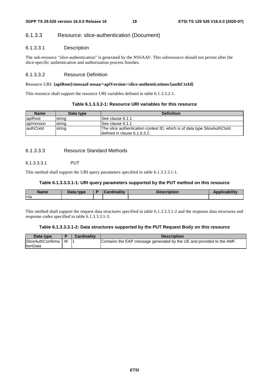#### 6.1.3.3 Resource: slice-authentication (Document)

#### 6.1.3.3.1 Description

The sub-resource "slice-authentication" is generated by the NSSAAF. This subresource should not persist after the slice-specific authentication and authorization process finishes.

#### 6.1.3.3.2 Resource Definition

#### Resource URI: **{apiRoot}/nnssaaf-nssaa/<apiVersion>/slice-authentications/{authCtxId}**

This resource shall support the resource URI variables defined in table 6.1.3.3.2-1.

#### **Table 6.1.3.3.2-1: Resource URI variables for this resource**

| <b>Name</b> | Data type | <b>Definition</b>                                                         |
|-------------|-----------|---------------------------------------------------------------------------|
| lapiRoot    | string    | See clause 6.1.1                                                          |
| apiVersion  | string    | See clause 6.1.1                                                          |
| lauthCtxId  | string    | The slice authentication context ID, which is of data type SliceAuthCtxId |
|             |           | defined in clause 6.1.6.3.2.                                              |

#### 6.1.3.3.3 Resource Standard Methods

#### 6.1.3.3.3.1 PUT

This method shall support the URI query parameters specified in table 6.1.3.3.3.1-1.

#### **Table 6.1.3.3.3.1-1: URI query parameters supported by the PUT method on this resource**

| <b>Name</b> | Data type | Cordinality | <b>Description</b> | . |
|-------------|-----------|-------------|--------------------|---|
| ln/a        |           |             |                    |   |

This method shall support the request data structures specified in table 6.1.3.3.3.1-2 and the response data structures and response codes specified in table 6.1.3.3.3.1-3.

#### **Table 6.1.3.3.3.1-2: Data structures supported by the PUT Request Body on this resource**

| Data type                                    |   | <b>Cardinality</b> | <b>Description</b>                                                    |
|----------------------------------------------|---|--------------------|-----------------------------------------------------------------------|
| <b>SliceAuthConfirma</b><br><b>ItionData</b> | М |                    | Contains the EAP message generated by the UE and provided to the AMF. |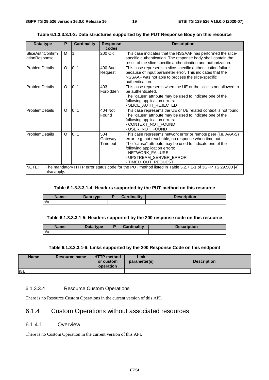| Data type                         | P        | <b>Cardinality</b> | <b>Response</b><br>codes   | <b>Description</b>                                                                                                                                                                                                                                                                          |
|-----------------------------------|----------|--------------------|----------------------------|---------------------------------------------------------------------------------------------------------------------------------------------------------------------------------------------------------------------------------------------------------------------------------------------|
| SliceAuthConfirm<br>ationResponse | M        | 1                  | 200 OK                     | This case indicates that the NSSAAF has performed the slice-<br>specific authentication. The response body shall contain the<br>result of the slice-specific authentication and authorization.                                                                                              |
| ProblemDetails                    | O        | 0.1                | 400 Bad<br>Request         | This case represents a slice-specific authentication failure<br>because of input parameter error. This indicates that the<br>NSSAAF was not able to process the slice-specific<br>authentication.                                                                                           |
| ProblemDetails                    | $\Omega$ | 0.1                | 403<br>Forbidden           | This case represents when the UE or the slice is not allowed to<br>be authenticated.<br>The "cause" attribute may be used to indicate one of the<br>following application errors:<br>- SLICE_AUTH_REJECTED                                                                                  |
| ProblemDetails                    | O        | 0.1                | 404 Not<br>Found           | This case represents the UE or UE related context is not found.<br>The "cause" attribute may be used to indicate one of the<br>following application errors:<br>CONTEXT_NOT_FOUND<br>- USER_NOT_FOUND                                                                                       |
| ProblemDetails                    | O        | 0.1                | 504<br>Gateway<br>Time out | This case represents network error or remote peer (i.e. AAA-S)<br>error, e.g. not reachable, no response when time out.<br>The "cause" attribute may be used to indicate one of the<br>following application errors:<br>- NETWORK_FAILURE<br>- UPSTREAM_SERVER_ERROR<br>- TIMED_OUT_REQUEST |
| NOTE:<br>also apply.              |          |                    |                            | The mandatory HTTP error status code for the PUT method listed in Table 5.2.7.1-1 of 3GPP TS 29.500 [4]                                                                                                                                                                                     |

**Table 6.1.3.3.3.1-3: Data structures supported by the PUT Response Body on this resource** 

#### **Table 6.1.3.3.3.1-4: Headers supported by the PUT method on this resource**

| <b>Name</b> | Data type | E | <b>Cardinality</b> | <b>Description</b> |
|-------------|-----------|---|--------------------|--------------------|
| n/a         |           |   |                    |                    |

#### **Table 6.1.3.3.3.1-5: Headers supported by the 200 response code on this resource**

| <b>Name</b> | Data type | <b>Cardinality</b> | <b>Description</b> |
|-------------|-----------|--------------------|--------------------|
| n/a         |           |                    |                    |

#### **Table 6.1.3.3.3.1-6: Links supported by the 200 Response Code on this endpoint**

| <b>Name</b> | Resource name | <b>HTTP method</b><br>or custom<br>operation | Link<br>parameter(s) | <b>Description</b> |
|-------------|---------------|----------------------------------------------|----------------------|--------------------|
| ln/a        |               |                                              |                      |                    |

#### 6.1.3.3.4 Resource Custom Operations

There is no Resource Custom Operations in the current version of this API.

### 6.1.4 Custom Operations without associated resources

#### 6.1.4.1 Overview

There is no Custom Operation in the current version of this API.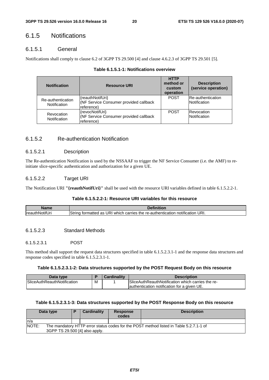### 6.1.5 Notifications

#### 6.1.5.1 General

Notifications shall comply to clause 6.2 of 3GPP TS 29.500 [4] and clause 4.6.2.3 of 3GPP TS 29.501 [5].

| <b>Notification</b>               | <b>Resource URI</b>                                                      | <b>HTTP</b><br>method or<br>custom<br>operation | <b>Description</b><br>(service operation) |
|-----------------------------------|--------------------------------------------------------------------------|-------------------------------------------------|-------------------------------------------|
| Re-authentication<br>Notification | {reauthNotifUri}<br>(NF Service Consumer provided callback<br>reference) | <b>POST</b>                                     | <b>Re-authentication</b><br>Notification  |
| Revocation<br>Notification        | {revocNotifUri}<br>(NF Service Consumer provided callback<br>reference)  | <b>POST</b>                                     | lRevocation<br>Notification               |

| Table 6.1.5.1-1: Notifications overview |
|-----------------------------------------|
|-----------------------------------------|

#### 6.1.5.2 Re-authentication Notification

#### 6.1.5.2.1 Description

The Re-authentication Notification is used by the NSSAAF to trigger the NF Service Consumer (i.e. the AMF) to reinitiate slice-specific authentication and authorization for a given UE.

#### 6.1.5.2.2 Target URI

The Notification URI **"{reauthNotifUri}"** shall be used with the resource URI variables defined in table 6.1.5.2.2-1.

#### **Table 6.1.5.2.2-1: Resource URI variables for this resource**

| <b>s</b> ame           | $\sim$ -finities                                                                              |
|------------------------|-----------------------------------------------------------------------------------------------|
| <b>IreauthNotifUri</b> | URI.<br>Strina<br>ı formatted as URI which l<br>carries the re-authentication<br>notification |

#### 6.1.5.2.3 Standard Methods

#### 6.1.5.2.3.1 POST

This method shall support the request data structures specified in table 6.1.5.2.3.1-1 and the response data structures and response codes specified in table 6.1.5.2.3.1-1.

#### **Table 6.1.5.2.3.1-2: Data structures supported by the POST Request Body on this resource**

| Data type                          |   | Cardinality | <b>Description</b>                                                                               |
|------------------------------------|---|-------------|--------------------------------------------------------------------------------------------------|
| <b>SliceAuthReauthNotification</b> | M |             | SliceAuthReauthNotification which carries the re-<br>authentication notification for a given UE. |
|                                    |   |             |                                                                                                  |

#### **Table 6.1.5.2.3.1-3: Data structures supported by the POST Response Body on this resource**

|       | Data type                                                                              |  | <b>Cardinality</b> | <b>Response</b><br>codes | <b>Description</b> |  |
|-------|----------------------------------------------------------------------------------------|--|--------------------|--------------------------|--------------------|--|
| In/a  |                                                                                        |  |                    |                          |                    |  |
| NOTE: | The mandatory HTTP error status codes for the POST method listed in Table 5.2.7.1-1 of |  |                    |                          |                    |  |
|       | 3GPP TS 29.500 [4] also apply.                                                         |  |                    |                          |                    |  |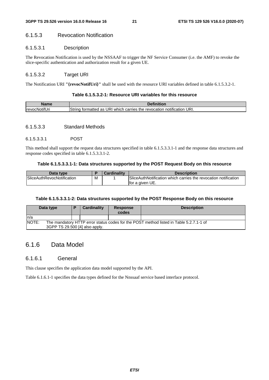#### 6.1.5.3 Revocation Notification

#### 6.1.5.3.1 Description

The Revocation Notification is used by the NSSAAF to trigger the NF Service Consumer (i.e. the AMF) to revoke the slice-specific authentication and authorization result for a given UE.

#### 6.1.5.3.2 Target URI

The Notification URI **"{revocNotifUri}"** shall be used with the resource URI variables defined in table 6.1.5.3.2-1.

#### **Table 6.1.5.3.2-1: Resource URI variables for this resource**

| Name                              | $\lambda$                                                                                      |
|-----------------------------------|------------------------------------------------------------------------------------------------|
| $-0.000$<br><b>IrevocNotifUri</b> | URI.<br>String<br>۔ URI which<br>n carries the<br>tormatted as<br>. revocation<br>notification |

#### 6.1.5.3.3 Standard Methods

#### 6.1.5.3.3.1 POST

This method shall support the request data structures specified in table 6.1.5.3.3.1-1 and the response data structures and response codes specified in table 6.1.5.3.3.1-2.

#### **Table 6.1.5.3.3.1-1: Data structures supported by the POST Request Body on this resource**

| Data type                         |   | <b>Cardinality</b> | <b>Description</b>                                              |
|-----------------------------------|---|--------------------|-----------------------------------------------------------------|
| <b>SliceAuthRevocNotification</b> | M |                    | SliceAuthNotification which carries the revocation notification |
|                                   |   |                    | lfor a given UE.                                                |

#### **Table 6.1.5.3.3.1-2: Data structures supported by the POST Response Body on this resource**

|                                                                                                                                   | Data type | ь | <b>Cardinality</b> | <b>Response</b><br>codes | <b>Description</b> |
|-----------------------------------------------------------------------------------------------------------------------------------|-----------|---|--------------------|--------------------------|--------------------|
| In/a                                                                                                                              |           |   |                    |                          |                    |
| NOTE:<br>The mandatory HTTP error status codes for the POST method listed in Table 5.2.7.1-1 of<br>3GPP TS 29.500 [4] also apply. |           |   |                    |                          |                    |

#### 6.1.6 Data Model

#### 6.1.6.1 General

This clause specifies the application data model supported by the API.

Table 6.1.6.1-1 specifies the data types defined for the Nnssaaf service based interface protocol.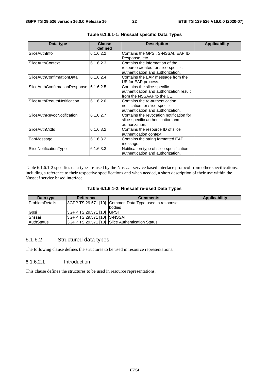| Data type                         | <b>Clause</b><br>defined | <b>Description</b>                       | <b>Applicability</b> |
|-----------------------------------|--------------------------|------------------------------------------|----------------------|
| SliceAuthInfo                     | 6.1.6.2.2                | Contains the GPSI, S-NSSAI, EAP ID       |                      |
|                                   |                          | Response, etc.                           |                      |
| <b>SliceAuthContext</b>           | 6.1.6.2.3                | Contains the information of the          |                      |
|                                   |                          | resource created for slice-specific      |                      |
|                                   |                          | authentication and authorization.        |                      |
| SliceAuthConfirmationData         | 6.1.6.2.4                | Contains the EAP message from the        |                      |
|                                   |                          | UE for EAP process.                      |                      |
| SliceAuthConfirmationResponse     | 6.1.6.2.5                | Contains the slice-specific              |                      |
|                                   |                          | authentication and authorization result  |                      |
|                                   |                          | lfrom the NSSAAF to the UE.              |                      |
| SliceAuthReauthNotification       | 6.1.6.2.6                | Contains the re-authentication           |                      |
|                                   |                          | notification for slice-specific          |                      |
|                                   |                          | authentication and authorization.        |                      |
| <b>SliceAuthRevocNotification</b> | 6.1.6.2.7                | Contains the revocation notification for |                      |
|                                   |                          | slice-specific authentication and        |                      |
|                                   |                          | authorization.                           |                      |
| SliceAuthCxtld                    | 6.1.6.3.2                | Contains the resource ID of slice        |                      |
|                                   |                          | authentication context.                  |                      |
| EapMessage                        | 6.1.6.3.2                | Contains the string formatted EAP        |                      |
|                                   |                          | message.                                 |                      |
| SliceNotificationType             | 6.1.6.3.3                | Notification type of slice-specification |                      |
|                                   |                          | authentication and authorization.        |                      |

#### **Table 6.1.6.1-1: Nnssaaf specific Data Types**

Table 6.1.6.1-2 specifies data types re-used by the Nnssaaf service based interface protocol from other specifications, including a reference to their respective specifications and when needed, a short description of their use within the Nnssaaf service based interface.

|  |  | Table 6.1.6.1-2: Nnssaaf re-used Data Types |  |  |  |
|--|--|---------------------------------------------|--|--|--|
|--|--|---------------------------------------------|--|--|--|

| Data type             | Reference                   | <b>Comments</b>                                       | Applicability |
|-----------------------|-----------------------------|-------------------------------------------------------|---------------|
| <b>ProblemDetails</b> |                             | 3GPP TS 29.571 [10] Common Data Type used in response |               |
|                       |                             | Ibodies                                               |               |
| Gpsi                  | 3GPP TS 29.571 [10] GPSI    |                                                       |               |
| Snssai                | 3GPP TS 29.571 [10] S-NSSAI |                                                       |               |
| <b>AuthStatus</b>     |                             | 3GPP TS 29.571 [10] Slice Authentication Status       |               |

#### 6.1.6.2 Structured data types

The following clause defines the structures to be used in resource representations.

#### 6.1.6.2.1 Introduction

This clause defines the structures to be used in resource representations.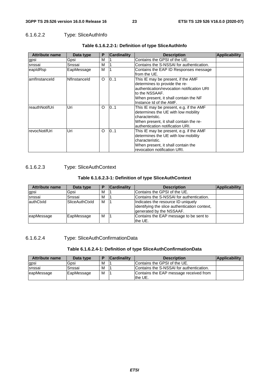#### 6.1.6.2.2 Type: SliceAuthInfo

| <b>Attribute name</b> | Data type    | Р | <b>Cardinality</b> | <b>Description</b>                                                                                                                                                                                       | <b>Applicability</b> |
|-----------------------|--------------|---|--------------------|----------------------------------------------------------------------------------------------------------------------------------------------------------------------------------------------------------|----------------------|
| gpsi                  | Gpsi         | M |                    | Contains the GPSI of the UE.                                                                                                                                                                             |                      |
| snssai                | Snssai       | M |                    | Contains the S-NSSAI for authentication.                                                                                                                                                                 |                      |
| eapIdRsp              | EapMessage   | м |                    | Contains the EAP ID Responses message<br>lfrom the UE.                                                                                                                                                   |                      |
| amfinstanceld         | Nflnstanceld | O | 101                | This IE may be present, if the AMF<br>determines to provide the re-<br>authentication/revocation notification URI<br>lto the NSSAAF.<br>When present, it shall contain the NF<br>Instance Id of the AMF. |                      |
| reauthNotifUri        | Uri          | O | 0.1                | This IE may be present, e.g. if the AMF<br>determines the UE with low mobility<br>characteristic.<br>When present, it shall contain the re-<br>authentication notification URI.                          |                      |
| revocNotifUri         | Uri          | O | 0.1                | This IE may be present, e.g. if the AMF<br>determines the UE with low mobility<br>characteristic.<br>When present, it shall contain the<br>revocation notification URI.                                  |                      |

#### **Table 6.1.6.2.2-1: Definition of type SliceAuthInfo**

#### 6.1.6.2.3 Type: SliceAuthContext

#### **Table 6.1.6.2.3-1: Definition of type SliceAuthContext**

| <b>Attribute name</b> | Data type             |   | <b>Cardinality</b> | <b>Description</b>                                                                                              | <b>Applicability</b> |
|-----------------------|-----------------------|---|--------------------|-----------------------------------------------------------------------------------------------------------------|----------------------|
| gpsi                  | Gpsi                  | м |                    | Contains the GPSI of the UE.                                                                                    |                      |
| snssai                | Snssai                | M |                    | Contains the S-NSSAI for authentication.                                                                        |                      |
| lauthCtxld            | <b>SliceAuthCtxId</b> | м |                    | Indicates the resource ID uniquely<br>identifying the slice authentication context,<br>generated by the NSSAAF. |                      |
| leapMessage           | EapMessage            | М |                    | Contains the EAP message to be sent to<br>the UE.                                                               |                      |

#### 6.1.6.2.4 Type: SliceAuthConfirmationData

#### **Table 6.1.6.2.4-1: Definition of type SliceAuthConfirmationData**

| <b>Attribute name</b> | Data type  | n | <b>Cardinality</b> | <b>Description</b>                                | Applicability |
|-----------------------|------------|---|--------------------|---------------------------------------------------|---------------|
| gpsi                  | Gpsi       | M |                    | Contains the GPSI of the UE.                      |               |
| Isnssai               | Snssai     | M |                    | Contains the S-NSSAI for authentication.          |               |
| eapMessage            | EapMessage | м |                    | Contains the EAP message received from<br>the UE. |               |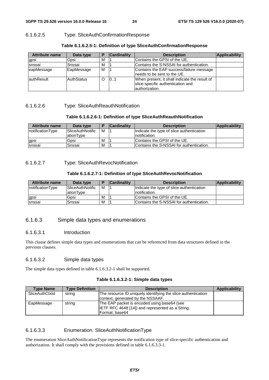#### 6.1.6.2.5 Type: SliceAuthConfirmationResponse

| <b>Attribute name</b> | Data type         |   | <b>Cardinality</b> | <b>Description</b>                                                                                   | Applicability |
|-----------------------|-------------------|---|--------------------|------------------------------------------------------------------------------------------------------|---------------|
| gpsi                  | Gpsi              | М |                    | Contains the GPSI of the UE.                                                                         |               |
| snssai                | Snssai            | M |                    | Contains the S-NSSAI for authentication.                                                             |               |
| eapMessage            | EapMessage        | м |                    | Contains the EAP success/failure message<br>lneeds to be sent to the UE.                             |               |
| lauthResult           | <b>AuthStatus</b> | O | 101                | When present, it shall indicate the result of<br>slice-specific authentication and<br>authorization. |               |

**Table 6.1.6.2.5-1: Definition of type SliceAuthConfirmationResponse** 

#### 6.1.6.2.6 Type: SliceAuthReauthNotification

#### **Table 6.1.6.2.6-1: Definition of type SliceAuthReauthNotification**

| <b>Attribute name</b> | Data type               | D | <b>Cardinality</b> | <b>Description</b>                        | <b>Applicability</b> |
|-----------------------|-------------------------|---|--------------------|-------------------------------------------|----------------------|
| notificationType      | <b>SliceAuthNotific</b> | м |                    | Indicate the type of slice authentication |                      |
|                       | ationType               |   |                    | Inotification.                            |                      |
| gpsi                  | Gpsi                    | M |                    | Contains the GPSI of the UE.              |                      |
| Isnssai               | Snssai                  | M |                    | Contains the S-NSSAI for authentication.  |                      |

6.1.6.2.7 Type: SliceAuthRevocNotification

#### **Table 6.1.6.2.7-1: Definition of type SliceAuthRevocNotification**

| <b>Attribute name</b> | Data type               | ь | <b>Cardinality</b> | <b>Description</b>                        | Applicability |
|-----------------------|-------------------------|---|--------------------|-------------------------------------------|---------------|
| notificationType      | <b>SliceAuthNotific</b> | м |                    | Indicate the type of slice authentication |               |
|                       | lationTvpe              |   |                    | Inotification.                            |               |
| gpsi                  | Gpsi                    | M |                    | Contains the GPSI of the UE.              |               |
| snssai                | Snssai                  | M |                    | Contains the S-NSSAI for authentication.  |               |

#### 6.1.6.3 Simple data types and enumerations

#### 6.1.6.3.1 Introduction

This clause defines simple data types and enumerations that can be referenced from data structures defined in the previous clauses.

#### 6.1.6.3.2 Simple data types

The simple data types defined in table 6.1.6.3.2-1 shall be supported.

| <b>Type Name</b> | <b>Type Definition</b> | <b>Description</b>                                            | Applicability |
|------------------|------------------------|---------------------------------------------------------------|---------------|
| SliceAuthCtxId   | string                 | The resource ID uniquely identifying the slice authentication |               |
|                  |                        | context, generated by the NSSAAF.                             |               |
| EapMessage       | string                 | The EAP packet is encoded using base64 (see                   |               |
|                  |                        | IETF RFC 4648 [14]) and represented as a String.              |               |
|                  |                        | Format: base64                                                |               |

#### 6.1.6.3.3 Enumeration: SliceAuthNotificationType

The enumeration SliceAuthNotificationType represents the notification type of slice-specific authentication and authorization. It shall comply with the provisions defined in table 6.1.6.3.3-1.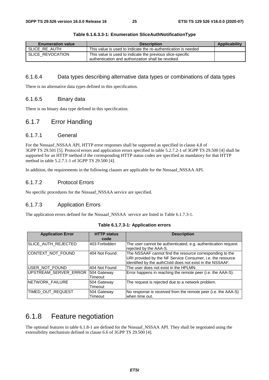| <b>Enumeration value</b> | <b>Description</b>                                                                                               | Applicability |
|--------------------------|------------------------------------------------------------------------------------------------------------------|---------------|
| SLICE RE AUTH            | This value is used to indicate the re-authentication is needed                                                   |               |
| SLICE REVOCATION         | This value is used to indicate the previous slice-specific<br>authentication and authorization shall be revoked. |               |

#### **Table 6.1.6.3.3-1: Enumeration SliceAuthNotificationType**

#### 6.1.6.4 Data types describing alternative data types or combinations of data types

There is no alternative data types defined in this specification.

#### 6.1.6.5 Binary data

There is no binary data type defined in this specification.

#### 6.1.7 Error Handling

#### 6.1.7.1 General

For the Nnssaaf\_NSSAA API, HTTP error responses shall be supported as specified in clause 4.8 of 3GPP TS 29.501 [5]. Protocol errors and application errors specified in table 5.2.7.2-1 of 3GPP TS 29.500 [4] shall be supported for an HTTP method if the corresponding HTTP status codes are specified as mandatory for that HTTP method in table 5.2.7.1-1 of 3GPP TS 29.500 [4].

In addition, the requirements in the following clauses are applicable for the Nnssaaf\_NSSAA API.

#### 6.1.7.2 Protocol Errors

No specific procedures for the Nnssaaf\_NSSAA service are specified.

#### 6.1.7.3 Application Errors

The application errors defined for the Nnssaaf\_NSSAA service are listed in Table 6.1.7.3-1.

| <b>Application Error</b> | <b>HTTP status</b><br>code | <b>Description</b>                                                                                                                                                                  |
|--------------------------|----------------------------|-------------------------------------------------------------------------------------------------------------------------------------------------------------------------------------|
| SLICE_AUTH_REJECTED      | 403 Forbidden              | The user cannot be authenticated, e.g. authentication request<br>rejected by the AAA-S.                                                                                             |
| CONTEXT_NOT_FOUND        | 404 Not Found              | The NSSAAF cannot find the resource corresponding to the<br>URI provided by the NF Service Consumer, i.e. the resource<br>identified by the authCtxId does not exist in the NSSAAF. |
| USER NOT FOUND           | 404 Not Found              | The user does not exist in the HPLMN.                                                                                                                                               |
| UPSTREAM_SERVER_ERROR    | 504 Gateway<br>Timeout     | Error happens in reaching the remote peer (i.e. the AAA-S).                                                                                                                         |
| NETWORK_FAILURE          | 504 Gateway<br>Timeout     | The request is rejected due to a network problem.                                                                                                                                   |
| TIMED_OUT_REQUEST        | 504 Gateway<br>Timeout     | No response is received from the remote peer (i.e. the AAA-S)<br>when time out.                                                                                                     |

#### **Table 6.1.7.3-1: Application errors**

### 6.1.8 Feature negotiation

The optional features in table 6.1.8-1 are defined for the Nnssaaf\_NSSAA API. They shall be negotiated using the extensibility mechanism defined in clause 6.6 of 3GPP TS 29.500 [4].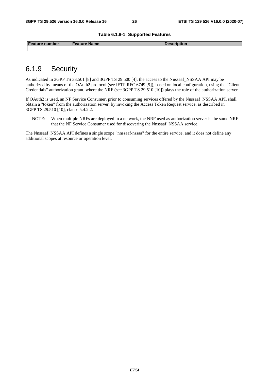#### **Table 6.1.8-1: Supported Features**

| <b>Feature number</b> | Feature Name | Description |
|-----------------------|--------------|-------------|
|                       |              |             |

### 6.1.9 Security

As indicated in 3GPP TS 33.501 [8] and 3GPP TS 29.500 [4], the access to the Nnssaaf NSSAA API may be authorized by means of the OAuth2 protocol (see IETF RFC 6749 [9]), based on local configuration, using the "Client Credentials" authorization grant, where the NRF (see 3GPP TS 29.510 [10]) plays the role of the authorization server.

If OAuth2 is used, an NF Service Consumer, prior to consuming services offered by the Nnssaaf\_NSSAA API, shall obtain a "token" from the authorization server, by invoking the Access Token Request service, as described in 3GPP TS 29.510 [10], clause 5.4.2.2.

NOTE: When multiple NRFs are deployed in a network, the NRF used as authorization server is the same NRF that the NF Service Consumer used for discovering the Nnssaaf\_NSSAA service.

The Nnssaaf NSSAA API defines a single scope "nnssaaf-nssaa" for the entire service, and it does not define any additional scopes at resource or operation level.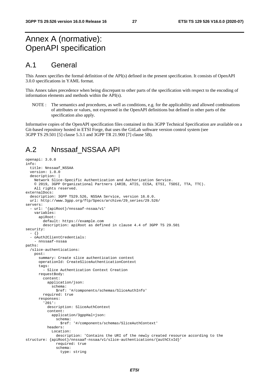### Annex A (normative): OpenAPI specification

### A.1 General

This Annex specifies the formal definition of the API(s) defined in the present specification. It consists of OpenAPI 3.0.0 specifications in YAML format.

This Annex takes precedence when being discrepant to other parts of the specification with respect to the encoding of information elements and methods within the API(s).

NOTE : The semantics and procedures, as well as conditions, e.g. for the applicability and allowed combinations of attributes or values, not expressed in the OpenAPI definitions but defined in other parts of the specification also apply.

Informative copies of the OpenAPI specification files contained in this 3GPP Technical Specification are available on a Git-based repository hosted in ETSI Forge, that uses the GitLab software version control system (see 3GPP TS 29.501 [5] clause 5.3.1 and 3GPP TR 21.900 [7] clause 5B).

### A.2 Nnssaaf\_NSSAA API

```
openapi: 3.0.0 
info: 
   title: Nnssaaf_NSSAA 
   version: 1.0.0 
   description: | 
     Network Slice-Specific Authentication and Authorization Service. 
     © 2019, 3GPP Organizational Partners (ARIB, ATIS, CCSA, ETSI, TSDSI, TTA, TTC). 
     All rights reserved. 
externalDocs: 
   description: 3GPP TS29.526, NSSAA Service, version 16.0.0. 
   url: http://www.3gpp.org/ftp/Specs/archive/29_series/29.526/ 
servers: 
   - url: '{apiRoot}/nnssaaf-nssaa/v1' 
     variables: 
       apiRoot: 
         default: https://example.com 
         description: apiRoot as defined in clause 4.4 of 3GPP TS 29.501 
security: 
   - {} 
   - oAuth2ClientCredentials: 
     - nnssaaf-nssaa 
paths: 
   /slice-authentications: 
     post: 
       summary: Create slice authentication context 
       operationId: CreateSliceAuthenticationContext 
       tags: 
         - Slice Authentication Context Creation 
       requestBody: 
         content: 
           application/json: 
              schema: 
                $ref: '#/components/schemas/SliceAuthInfo' 
         required: true 
       responses: 
          '201': 
           description: SliceAuthContext 
            content: 
              application/3gppHal+json: 
                schema: 
                  $ref: '#/components/schemas/SliceAuthContext' 
           headers: 
              Location: 
                description: 'Contains the URI of the newly created resource according to the 
structure: {apiRoot}/nnssaaf-nssaa/v1/slice-authentications/{authCtxId}' 
                required: true 
                schema: 
                  type: string
```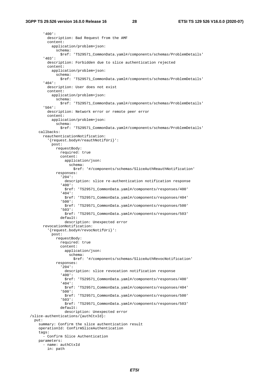```
 '400': 
         description: Bad Request from the AMF 
         content: 
           application/problem+json: 
              schema: 
                $ref: 'TS29571_CommonData.yaml#/components/schemas/ProblemDetails' 
       '403': 
         description: Forbidden due to slice authentication rejected 
         content: 
           application/problem+json: 
             schema: 
                $ref: 'TS29571_CommonData.yaml#/components/schemas/ProblemDetails' 
       '404': 
         description: User does not exist 
         content: 
           application/problem+json: 
              schema: 
                $ref: 'TS29571_CommonData.yaml#/components/schemas/ProblemDetails' 
       '504': 
         description: Network error or remote peer error 
         content: 
           application/problem+json: 
             schema: 
               $ref: 'TS29571_CommonData.yaml#/components/schemas/ProblemDetails' 
     callbacks: 
       reauthenticationNotification: 
         '{request.body#/reauthNotifUri}': 
           post: 
             requestBody: 
                required: true 
                content: 
                  application/json: 
                    schema: 
                      $ref: '#/components/schemas/SliceAuthReauthNotification' 
              responses: 
                '204': 
                  description: slice re-authentication notification response 
                '400': 
                  $ref: 'TS29571_CommonData.yaml#/components/responses/400' 
                '404': 
                  $ref: 'TS29571_CommonData.yaml#/components/responses/404' 
                '500': 
                  $ref: 'TS29571_CommonData.yaml#/components/responses/500' 
                '503': 
                  $ref: 'TS29571_CommonData.yaml#/components/responses/503' 
                default: 
                 description: Unexpected error 
       revocationNotification: 
          '{request.body#/revocNotifUri}': 
           post: 
             requestBody: 
                required: true 
                content: 
                  application/json: 
                    schema: 
                      $ref: '#/components/schemas/SliceAuthRevocNotification' 
              responses: 
                '204': 
                  description: slice revocation notification response 
                '400': 
                  $ref: 'TS29571_CommonData.yaml#/components/responses/400' 
                '404': 
                  $ref: 'TS29571_CommonData.yaml#/components/responses/404' 
                '500': 
                  $ref: 'TS29571_CommonData.yaml#/components/responses/500' 
                '503': 
                  $ref: 'TS29571_CommonData.yaml#/components/responses/503' 
                default: 
                  description: Unexpected error 
 /slice-authentications/{authCtxId}: 
  put: 
     summary: Confirm the slice authentication result 
     operationId: ConfirmSliceAuthentication 
     tags: 
       - Confirm Slice Authentication 
     parameters: 
       - name: authCtxId 
         in: path
```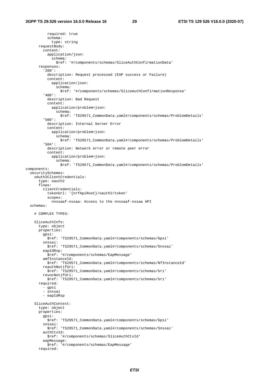required: true schema: type: string requestBody: content: application/json: schema: \$ref: '#/components/schemas/SliceAuthConfirmationData' responses: '200': description: Request processed (EAP success or Failure) content: application/json: schema: \$ref: '#/components/schemas/SliceAuthConfirmationResponse' '400': description: Bad Request content: application/problem+json: schema: \$ref: 'TS29571\_CommonData.yaml#/components/schemas/ProblemDetails' '500': description: Internal Server Error content: application/problem+json: schema: \$ref: 'TS29571\_CommonData.yaml#/components/schemas/ProblemDetails' '504': description: Network error or remote peer error content: application/problem+json: schema: \$ref: 'TS29571\_CommonData.yaml#/components/schemas/ProblemDetails' components: securitySchemes: oAuth2ClientCredentials: type: oauth2 flows: clientCredentials: tokenUrl: '{nrfApiRoot}/oauth2/token' scopes: nnssaaf-nssaa: Access to the nnssaaf-nssaa API schemas: # COMPLEX TYPES: SliceAuthInfo: type: object properties: gpsi: \$ref: 'TS29571\_CommonData.yaml#/components/schemas/Gpsi' snssai: \$ref: 'TS29571\_CommonData.yaml#/components/schemas/Snssai' eapIdRsp: \$ref: '#/components/schemas/EapMessage' amfInstanceId: \$ref: 'TS29571\_CommonData.yaml#/components/schemas/NfInstanceId' reauthNotifUri: \$ref: 'TS29571\_CommonData.yaml#/components/schemas/Uri' revocNotifUri: \$ref: 'TS29571\_CommonData.yaml#/components/schemas/Uri' required: - gpsi - snssai - eapIdRsp SliceAuthContext: type: object properties: gpsi: \$ref: 'TS29571\_CommonData.yaml#/components/schemas/Gpsi' snssai: \$ref: 'TS29571\_CommonData.yaml#/components/schemas/Snssai' authCtxId: \$ref: '#/components/schemas/SliceAuthCtxId' eapMessage: \$ref: '#/components/schemas/EapMessage' required: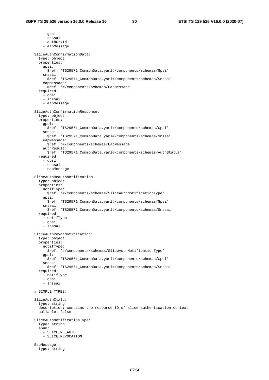- gpsi - snssai - authCtxId - eapMessage SliceAuthConfirmationData: type: object properties: gpsi: \$ref: 'TS29571\_CommonData.yaml#/components/schemas/Gpsi' snssai: \$ref: 'TS29571\_CommonData.yaml#/components/schemas/Snssai' eapMessage: \$ref: '#/components/schemas/EapMessage' required: - gpsi - snssai - eapMessage SliceAuthConfirmationResponse: type: object properties: gpsi: \$ref: 'TS29571\_CommonData.yaml#/components/schemas/Gpsi' snssai: \$ref: 'TS29571\_CommonData.yaml#/components/schemas/Snssai' eapMessage: \$ref: '#/components/schemas/EapMessage' authResult: \$ref: 'TS29571\_CommonData.yaml#/components/schemas/AuthStatus' required: - gpsi - snssai - eapMessage SliceAuthReauthNotification: type: object properties: notifType: \$ref: '#/components/schemas/SliceAuthNotificationType' gpsi: \$ref: 'TS29571\_CommonData.yaml#/components/schemas/Gpsi' snssai: \$ref: 'TS29571\_CommonData.yaml#/components/schemas/Snssai' required: - notifType - gpsi - snssai SliceAuthRevocNotification: type: object properties: notifType: \$ref: '#/components/schemas/SliceAuthNotificationType' gpsi: \$ref: 'TS29571\_CommonData.yaml#/components/schemas/Gpsi' snssai: \$ref: 'TS29571\_CommonData.yaml#/components/schemas/Snssai' required: - notifType - gpsi - snssai # SIMPLE TYPES: SliceAuthCtxId: type: string description: contains the resource ID of slice authentication context nullable: false SliceAuthNotificationType: type: string enum: - SLICE\_RE\_AUTH - SLICE\_REVOCATION EapMessage: type: string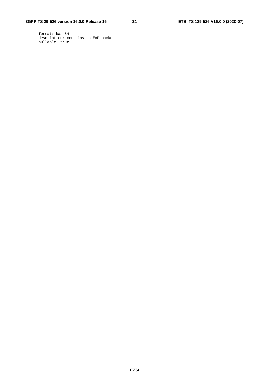#### **3GPP TS 29.526 version 16.0.0 Release 16 31 ETSI TS 129 526 V16.0.0 (2020-07)**

 format: base64 description: contains an EAP packet nullable: true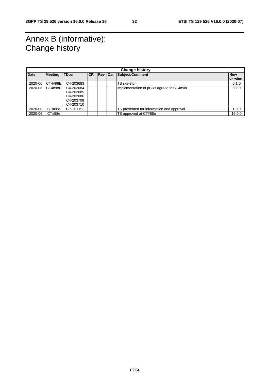### Annex B (informative): Change history

| <b>Change history</b> |                |                                                               |           |  |  |                                            |            |
|-----------------------|----------------|---------------------------------------------------------------|-----------|--|--|--------------------------------------------|------------|
| <b>Date</b>           | <b>Meeting</b> | <b>TDoc</b>                                                   | <b>CR</b> |  |  | Rev Cat Subject/Comment                    | <b>New</b> |
|                       |                |                                                               |           |  |  |                                            | version    |
| 2020-06               | CT4#98E        | C4-203683                                                     |           |  |  | TS skeleton.                               | 0.1.0      |
| 2020-06               | CT4#98E        | C4-202084<br>C4-202085<br>C4-202086<br>C4-203709<br>C4-203710 |           |  |  | Implementation of pCRs agreed in CT4#98E   | 0.2.0      |
| 2020-06               | CT#88e         | CP-201193                                                     |           |  |  | TS presented for information and approval. | 1.0.0      |
| 2020-06               | CT#88e         |                                                               |           |  |  | TS approved at CT#88e                      | 16.0.0     |